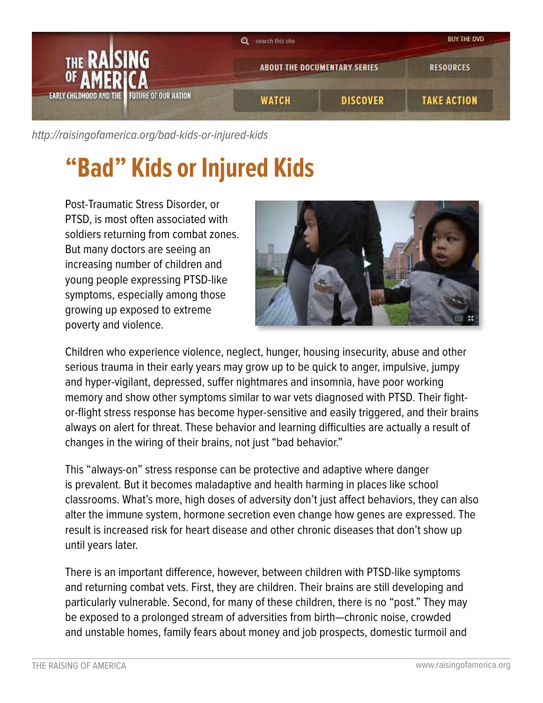

[http://raisingofamerica.org/](http://raisingofamerica.org/bad-kids-or-injured-kids)bad-kids-or-injured-kids

## **"Bad" Kids or Injured Kids**

Post-Traumatic Stress Disorder, or PTSD, is most often associated with soldiers returning from combat zones. But many doctors are seeing an increasing number of children and young people expressing PTSD-like symptoms, especially among those growing up exposed to extreme poverty and violence.



Children who experience violence, neglect, hunger, housing insecurity, abuse and other serious trauma in their early years may grow up to be quick to anger, impulsive, jumpy and hyper-vigilant, depressed, suffer nightmares and insomnia, have poor working memory and show other symptoms similar to war vets diagnosed with PTSD. Their fightor-flight stress response has become hyper-sensitive and easily triggered, and their brains always on alert for threat. These behavior and learning difficulties are actually a result of changes in the wiring of their brains, not just "bad behavior."

This "always-on" stress response can be protective and adaptive where danger is prevalent. But it becomes maladaptive and health harming in places like school classrooms. What's more, high doses of adversity don't just affect behaviors, they can also alter the immune system, hormone secretion even change how genes are expressed. The result is increased risk for heart disease and other chronic diseases that don't show up until years later.

There is an important difference, however, between children with PTSD-like symptoms and returning combat vets. First, they are children. Their brains are still developing and particularly vulnerable. Second, for many of these children, there is no "post." They may be exposed to a prolonged stream of adversities from birth—chronic noise, crowded and unstable homes, family fears about money and job prospects, domestic turmoil and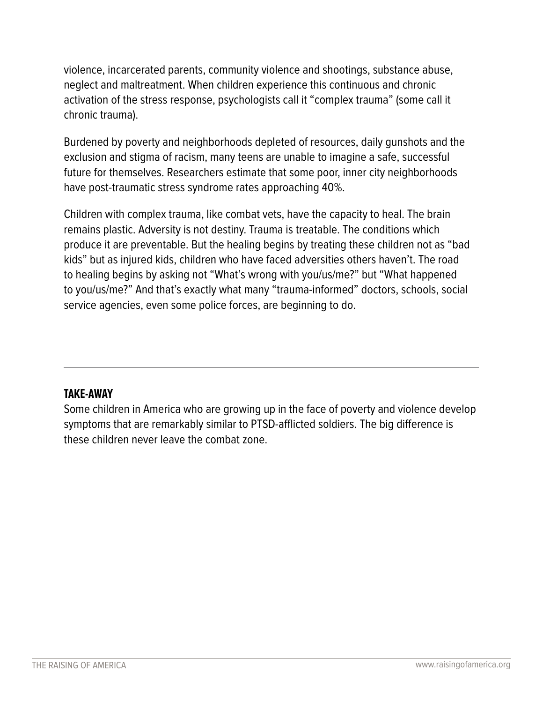violence, incarcerated parents, community violence and shootings, substance abuse, neglect and maltreatment. When children experience this continuous and chronic activation of the stress response, psychologists call it "complex trauma" (some call it chronic trauma).

Burdened by poverty and neighborhoods depleted of resources, daily gunshots and the exclusion and stigma of racism, many teens are unable to imagine a safe, successful future for themselves. Researchers estimate that some poor, inner city neighborhoods have post-traumatic stress syndrome rates approaching 40%.

Children with complex trauma, like combat vets, have the capacity to heal. The brain remains plastic. Adversity is not destiny. Trauma is treatable. The conditions which produce it are preventable. But the healing begins by treating these children not as "bad kids" but as injured kids, children who have faced adversities others haven't. The road to healing begins by asking not "What's wrong with you/us/me?" but "What happened to you/us/me?" And that's exactly what many "trauma-informed" doctors, schools, social service agencies, even some police forces, are beginning to do.

## **TAKE-AWAY**

Some children in America who are growing up in the face of poverty and violence develop symptoms that are remarkably similar to PTSD-afflicted soldiers. The big difference is these children never leave the combat zone.